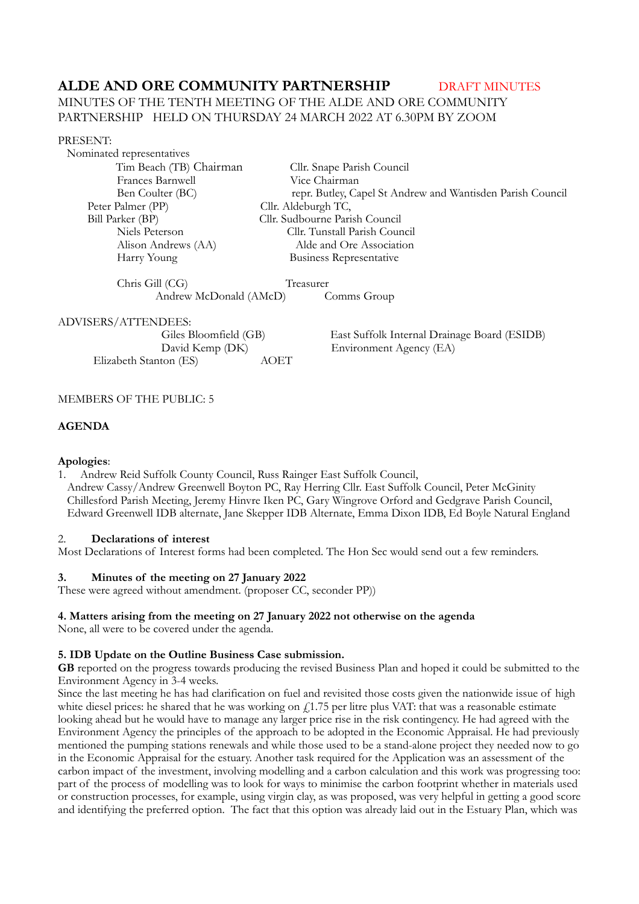# **ALDE AND ORE COMMUNITY PARTNERSHIP DRAFT MINUTES**

# MINUTES OF THE TENTH MEETING OF THE ALDE AND ORE COMMUNITY PARTNERSHIP HELD ON THURSDAY 24 MARCH 2022 AT 6.30PM BY ZOOM

#### PRESENT:

 Nominated representatives Frances Barnwell Vice Chairman<br>Ben Coulter (BC) repr. Butley, Ca Peter Palmer (PP) Cllr. Aldeburgh TC, Bill Parker (BP) Cllr. Sudbourne Parish Council

 Tim Beach (TB) ChairmanCllr. Snape Parish Council repr. Butley, Capel St Andrew and Wantisden Parish Council Niels Peterson Cllr. Tunstall Parish Council Alison Andrews (AA) Alde and Ore Association Harry Young Business Representative

Chris Gill (CG) Treasurer

Andrew McDonald (AMcD) Comms Group

## ADVISERS/ATTENDEES:

| Giles Bloomfield (GB)  |      |
|------------------------|------|
| David Kemp (DK)        |      |
| Elizabeth Stanton (ES) | AOET |

East Suffolk Internal Drainage Board (ESIDB) Environment Agency (EA)

## MEMBERS OF THE PUBLIC: 5

## **AGENDA**

## **Apologies**:

1. Andrew Reid Suffolk County Council, Russ Rainger East Suffolk Council, Andrew Cassy/Andrew Greenwell Boyton PC, Ray Herring Cllr. East Suffolk Council, Peter McGinity Chillesford Parish Meeting, Jeremy Hinvre Iken PC, Gary Wingrove Orford and Gedgrave Parish Council, Edward Greenwell IDB alternate, Jane Skepper IDB Alternate, Emma Dixon IDB, Ed Boyle Natural England

## 2. **Declarations of interest**

Most Declarations of Interest forms had been completed. The Hon Sec would send out a few reminders.

## **3. Minutes of the meeting on 27 January 2022**

These were agreed without amendment. (proposer CC, seconder PP))

# **4. Matters arising from the meeting on 27 January 2022 not otherwise on the agenda**

None, all were to be covered under the agenda.

# **5. IDB Update on the Outline Business Case submission.**

**GB** reported on the progress towards producing the revised Business Plan and hoped it could be submitted to the Environment Agency in 3-4 weeks.

Since the last meeting he has had clarification on fuel and revisited those costs given the nationwide issue of high white diesel prices: he shared that he was working on  $f<sub>1.75</sub>$  per litre plus VAT: that was a reasonable estimate looking ahead but he would have to manage any larger price rise in the risk contingency. He had agreed with the Environment Agency the principles of the approach to be adopted in the Economic Appraisal. He had previously mentioned the pumping stations renewals and while those used to be a stand-alone project they needed now to go in the Economic Appraisal for the estuary. Another task required for the Application was an assessment of the carbon impact of the investment, involving modelling and a carbon calculation and this work was progressing too: part of the process of modelling was to look for ways to minimise the carbon footprint whether in materials used or construction processes, for example, using virgin clay, as was proposed, was very helpful in getting a good score and identifying the preferred option. The fact that this option was already laid out in the Estuary Plan, which was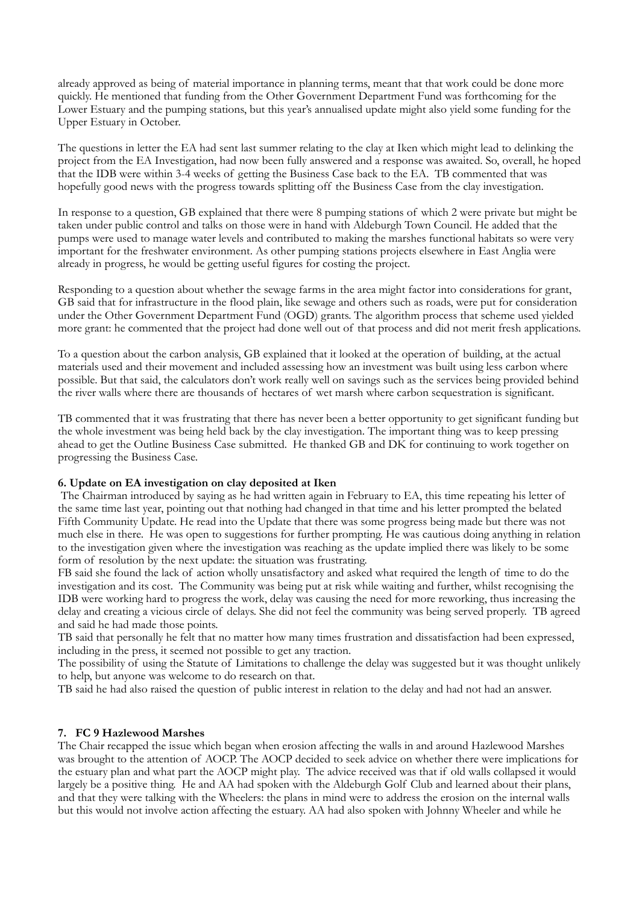already approved as being of material importance in planning terms, meant that that work could be done more quickly. He mentioned that funding from the Other Government Department Fund was forthcoming for the Lower Estuary and the pumping stations, but this year's annualised update might also yield some funding for the Upper Estuary in October.

The questions in letter the EA had sent last summer relating to the clay at Iken which might lead to delinking the project from the EA Investigation, had now been fully answered and a response was awaited. So, overall, he hoped that the IDB were within 3-4 weeks of getting the Business Case back to the EA. TB commented that was hopefully good news with the progress towards splitting off the Business Case from the clay investigation.

In response to a question, GB explained that there were 8 pumping stations of which 2 were private but might be taken under public control and talks on those were in hand with Aldeburgh Town Council. He added that the pumps were used to manage water levels and contributed to making the marshes functional habitats so were very important for the freshwater environment. As other pumping stations projects elsewhere in East Anglia were already in progress, he would be getting useful figures for costing the project.

Responding to a question about whether the sewage farms in the area might factor into considerations for grant, GB said that for infrastructure in the flood plain, like sewage and others such as roads, were put for consideration under the Other Government Department Fund (OGD) grants. The algorithm process that scheme used yielded more grant: he commented that the project had done well out of that process and did not merit fresh applications.

To a question about the carbon analysis, GB explained that it looked at the operation of building, at the actual materials used and their movement and included assessing how an investment was built using less carbon where possible. But that said, the calculators don't work really well on savings such as the services being provided behind the river walls where there are thousands of hectares of wet marsh where carbon sequestration is significant.

TB commented that it was frustrating that there has never been a better opportunity to get significant funding but the whole investment was being held back by the clay investigation. The important thing was to keep pressing ahead to get the Outline Business Case submitted. He thanked GB and DK for continuing to work together on progressing the Business Case.

#### **6. Update on EA investigation on clay deposited at Iken**

 The Chairman introduced by saying as he had written again in February to EA, this time repeating his letter of the same time last year, pointing out that nothing had changed in that time and his letter prompted the belated Fifth Community Update. He read into the Update that there was some progress being made but there was not much else in there. He was open to suggestions for further prompting. He was cautious doing anything in relation to the investigation given where the investigation was reaching as the update implied there was likely to be some form of resolution by the next update: the situation was frustrating.

FB said she found the lack of action wholly unsatisfactory and asked what required the length of time to do the investigation and its cost. The Community was being put at risk while waiting and further, whilst recognising the IDB were working hard to progress the work, delay was causing the need for more reworking, thus increasing the delay and creating a vicious circle of delays. She did not feel the community was being served properly. TB agreed and said he had made those points.

TB said that personally he felt that no matter how many times frustration and dissatisfaction had been expressed, including in the press, it seemed not possible to get any traction.

The possibility of using the Statute of Limitations to challenge the delay was suggested but it was thought unlikely to help, but anyone was welcome to do research on that.

TB said he had also raised the question of public interest in relation to the delay and had not had an answer.

## **7. FC 9 Hazlewood Marshes**

The Chair recapped the issue which began when erosion affecting the walls in and around Hazlewood Marshes was brought to the attention of AOCP. The AOCP decided to seek advice on whether there were implications for the estuary plan and what part the AOCP might play. The advice received was that if old walls collapsed it would largely be a positive thing. He and AA had spoken with the Aldeburgh Golf Club and learned about their plans, and that they were talking with the Wheelers: the plans in mind were to address the erosion on the internal walls but this would not involve action affecting the estuary. AA had also spoken with Johnny Wheeler and while he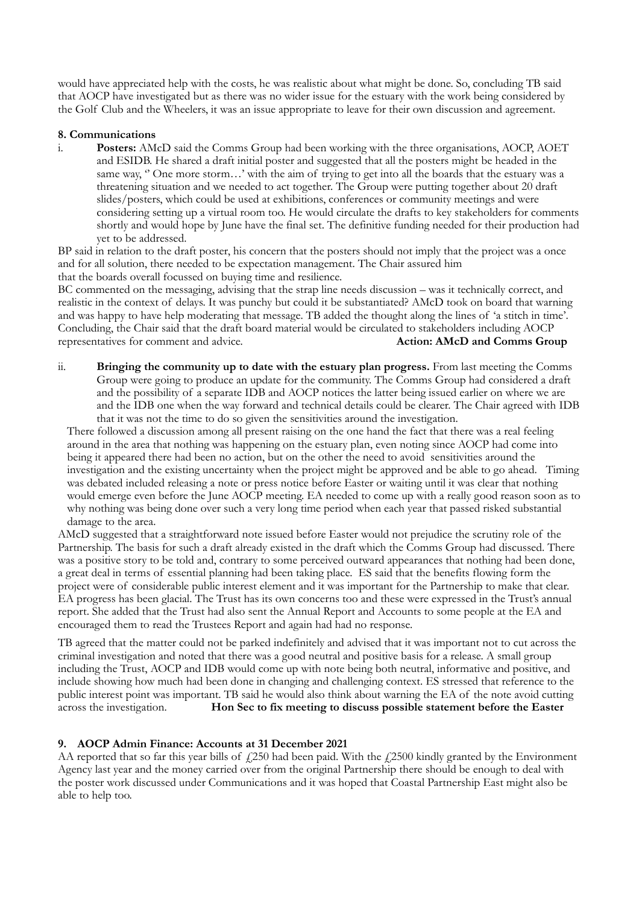would have appreciated help with the costs, he was realistic about what might be done. So, concluding TB said that AOCP have investigated but as there was no wider issue for the estuary with the work being considered by the Golf Club and the Wheelers, it was an issue appropriate to leave for their own discussion and agreement.

#### **8. Communications**

i. **Posters:** AMcD said the Comms Group had been working with the three organisations, AOCP, AOET and ESIDB. He shared a draft initial poster and suggested that all the posters might be headed in the same way, " One more storm...' with the aim of trying to get into all the boards that the estuary was a threatening situation and we needed to act together. The Group were putting together about 20 draft slides/posters, which could be used at exhibitions, conferences or community meetings and were considering setting up a virtual room too. He would circulate the drafts to key stakeholders for comments shortly and would hope by June have the final set. The definitive funding needed for their production had yet to be addressed.

BP said in relation to the draft poster, his concern that the posters should not imply that the project was a once and for all solution, there needed to be expectation management. The Chair assured him that the boards overall focussed on buying time and resilience.

BC commented on the messaging, advising that the strap line needs discussion – was it technically correct, and realistic in the context of delays. It was punchy but could it be substantiated? AMcD took on board that warning and was happy to have help moderating that message. TB added the thought along the lines of 'a stitch in time'. Concluding, the Chair said that the draft board material would be circulated to stakeholders including AOCP representatives for comment and advice. **Action: AMcD and Comms Group** 

ii. **Bringing the community up to date with the estuary plan progress.** From last meeting the Comms Group were going to produce an update for the community. The Comms Group had considered a draft and the possibility of a separate IDB and AOCP notices the latter being issued earlier on where we are and the IDB one when the way forward and technical details could be clearer. The Chair agreed with IDB that it was not the time to do so given the sensitivities around the investigation.

There followed a discussion among all present raising on the one hand the fact that there was a real feeling around in the area that nothing was happening on the estuary plan, even noting since AOCP had come into being it appeared there had been no action, but on the other the need to avoid sensitivities around the investigation and the existing uncertainty when the project might be approved and be able to go ahead. Timing was debated included releasing a note or press notice before Easter or waiting until it was clear that nothing would emerge even before the June AOCP meeting. EA needed to come up with a really good reason soon as to why nothing was being done over such a very long time period when each year that passed risked substantial damage to the area.

AMcD suggested that a straightforward note issued before Easter would not prejudice the scrutiny role of the Partnership. The basis for such a draft already existed in the draft which the Comms Group had discussed. There was a positive story to be told and, contrary to some perceived outward appearances that nothing had been done, a great deal in terms of essential planning had been taking place. ES said that the benefits flowing form the project were of considerable public interest element and it was important for the Partnership to make that clear. EA progress has been glacial. The Trust has its own concerns too and these were expressed in the Trust's annual report. She added that the Trust had also sent the Annual Report and Accounts to some people at the EA and encouraged them to read the Trustees Report and again had had no response.

TB agreed that the matter could not be parked indefinitely and advised that it was important not to cut across the criminal investigation and noted that there was a good neutral and positive basis for a release. A small group including the Trust, AOCP and IDB would come up with note being both neutral, informative and positive, and include showing how much had been done in changing and challenging context. ES stressed that reference to the public interest point was important. TB said he would also think about warning the EA of the note avoid cutting across the investigation. **Hon Sec to fix meeting to discuss possible statement before the Easter** 

## **9. AOCP Admin Finance: Accounts at 31 December 2021**

AA reported that so far this year bills of  $\angle$ 250 had been paid. With the  $\angle$ 2500 kindly granted by the Environment Agency last year and the money carried over from the original Partnership there should be enough to deal with the poster work discussed under Communications and it was hoped that Coastal Partnership East might also be able to help too.